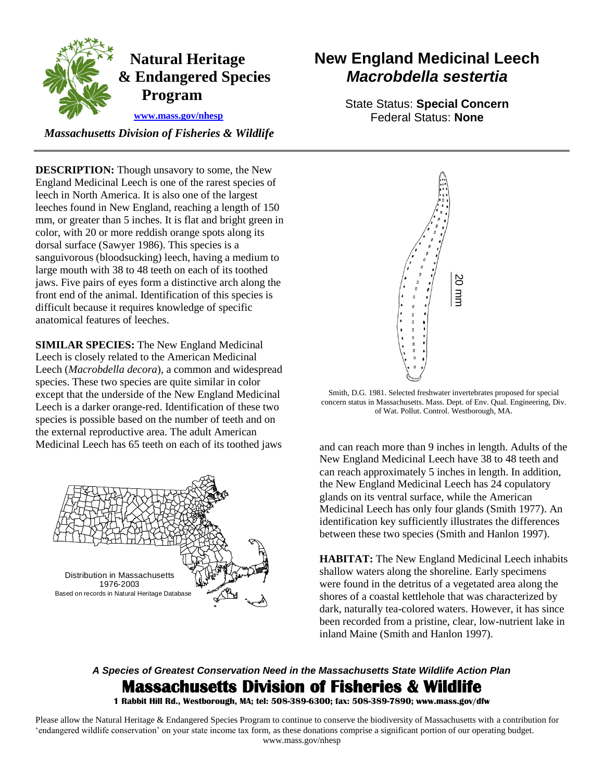

## **Natural Heritage & Endangered Species Program**

 **[www.mass.gov/nhesp](http://www.mass.gov/eea/agencies/dfg/dfw/natural-heritage/)** 

 *Massachusetts Division of Fisheries & Wildlife* 

 England Medicinal Leech is one of the rarest species of leech in North America. It is also one of the largest front end of the animal. Identification of this species is **DESCRIPTION:** Though unsavory to some, the New leeches found in New England, reaching a length of 150 mm, or greater than 5 inches. It is flat and bright green in color, with 20 or more reddish orange spots along its dorsal surface (Sawyer 1986). This species is a sanguivorous (bloodsucking) leech, having a medium to large mouth with 38 to 48 teeth on each of its toothed jaws. Five pairs of eyes form a distinctive arch along the difficult because it requires knowledge of specific anatomical features of leeches.

 species. These two species are quite similar in color Leech is a darker orange-red. Identification of these two **SIMILAR SPECIES:** The New England Medicinal Leech is closely related to the American Medicinal Leech (*Macrobdella decora*), a common and widespread except that the underside of the New England Medicinal species is possible based on the number of teeth and on the external reproductive area. The adult American Medicinal Leech has 65 teeth on each of its toothed jaws and can reach more than 9 inches in length. Adults of the



# **New England Medicinal Leech**  *Macrobdella sestertia*

State Status: **Special Concern**  Federal Status: **None** 



 Smith, D.G. 1981. Selected freshwater invertebrates proposed for special concern status in Massachusetts. Mass. Dept. of Env. Qual. Engineering, Div. of Wat. Pollut. Control. Westborough, MA.

New England Medicinal Leech have 38 to 48 teeth and can reach approximately 5 inches in length. In addition, the New England Medicinal Leech has 24 copulatory glands on its ventral surface, while the American Medicinal Leech has only four glands (Smith 1977). An identification key sufficiently illustrates the differences between these two species (Smith and Hanlon 1997).

**HABITAT:** The New England Medicinal Leech inhabits shallow waters along the shoreline. Early specimens were found in the detritus of a vegetated area along the shores of a coastal kettlehole that was characterized by dark, naturally tea-colored waters. However, it has since been recorded from a pristine, clear, low-nutrient lake in inland Maine (Smith and Hanlon 1997).

### *A Species of Greatest Conservation Need in the Massachusetts State Wildlife Action Plan*  **Massachusetts Division of Fisheries & Wildlife**

 **1 Rabbit Hill Rd., Westborough, MA; tel: 508-389-6300; fax: 508-389-7890; www.mass.gov/dfw** 

 Please allow the Natural Heritage & Endangered Species Program to continue to conserve the biodiversity of Massachusetts with a contribution for 'endangered wildlife conservation' on your state income tax form, as these donations comprise a significant portion of our operating budget. www.mass.gov/nhesp